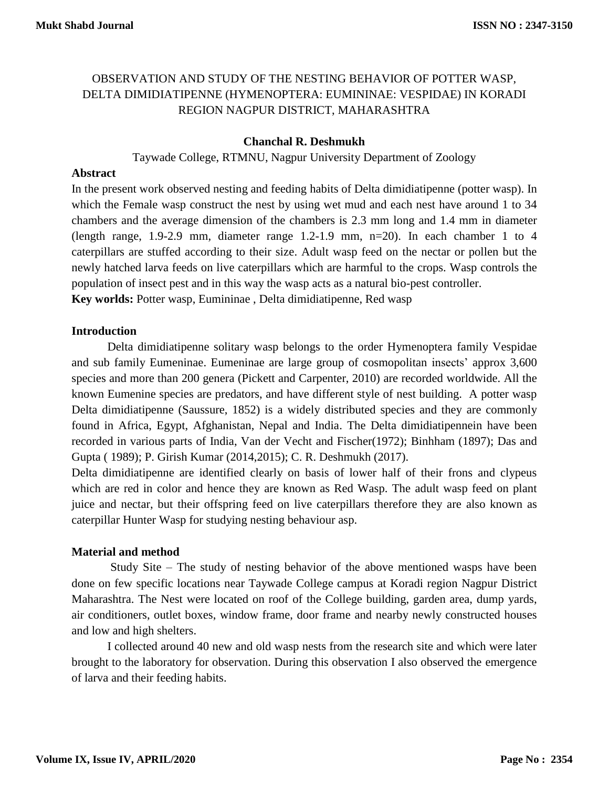# OBSERVATION AND STUDY OF THE NESTING BEHAVIOR OF POTTER WASP, DELTA DIMIDIATIPENNE (HYMENOPTERA: EUMININAE: VESPIDAE) IN KORADI REGION NAGPUR DISTRICT, MAHARASHTRA

## **Chanchal R. Deshmukh**

Taywade College, RTMNU, Nagpur University Department of Zoology

#### **Abstract**

In the present work observed nesting and feeding habits of Delta dimidiatipenne (potter wasp). In which the Female wasp construct the nest by using wet mud and each nest have around 1 to 34 chambers and the average dimension of the chambers is 2.3 mm long and 1.4 mm in diameter (length range, 1.9-2.9 mm, diameter range 1.2-1.9 mm, n=20). In each chamber 1 to 4 caterpillars are stuffed according to their size. Adult wasp feed on the nectar or pollen but the newly hatched larva feeds on live caterpillars which are harmful to the crops. Wasp controls the population of insect pest and in this way the wasp acts as a natural bio-pest controller.

**Key worlds:** Potter wasp, Eumininae , Delta dimidiatipenne, Red wasp

#### **Introduction**

Delta dimidiatipenne solitary wasp belongs to the order Hymenoptera family Vespidae and sub family Eumeninae. Eumeninae are large group of cosmopolitan insects' approx 3,600 species and more than 200 genera (Pickett and Carpenter, 2010) are recorded worldwide. All the known Eumenine species are predators, and have different style of nest building. A potter wasp Delta dimidiatipenne (Saussure, 1852) is a widely distributed species and they are commonly found in Africa, Egypt, Afghanistan, Nepal and India. The Delta dimidiatipennein have been recorded in various parts of India, Van der Vecht and Fischer(1972); Binhham (1897); Das and Gupta ( 1989); P. Girish Kumar (2014,2015); C. R. Deshmukh (2017).

Delta dimidiatipenne are identified clearly on basis of lower half of their frons and clypeus which are red in color and hence they are known as Red Wasp. The adult wasp feed on plant juice and nectar, but their offspring feed on live caterpillars therefore they are also known as caterpillar Hunter Wasp for studying nesting behaviour asp.

### **Material and method**

Study Site – The study of nesting behavior of the above mentioned wasps have been done on few specific locations near Taywade College campus at Koradi region Nagpur District Maharashtra. The Nest were located on roof of the College building, garden area, dump yards, air conditioners, outlet boxes, window frame, door frame and nearby newly constructed houses and low and high shelters.

I collected around 40 new and old wasp nests from the research site and which were later brought to the laboratory for observation. During this observation I also observed the emergence of larva and their feeding habits.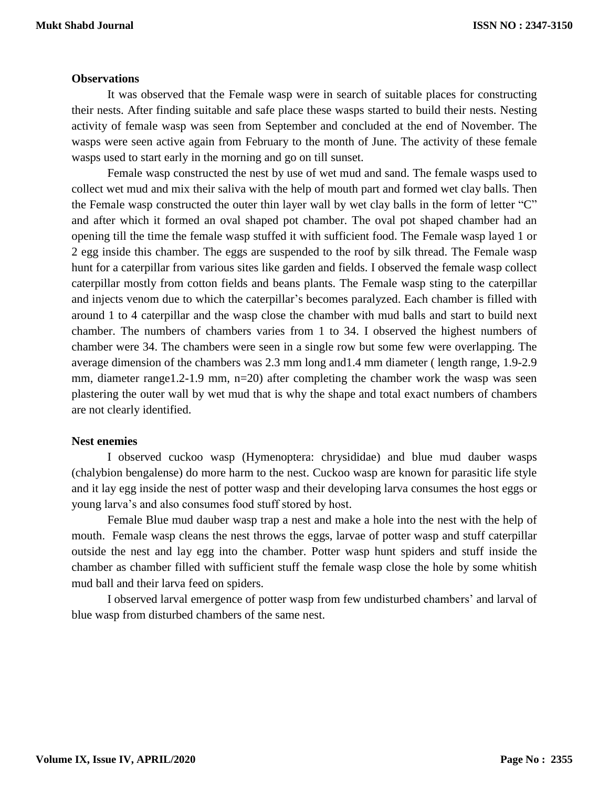#### **Observations**

It was observed that the Female wasp were in search of suitable places for constructing their nests. After finding suitable and safe place these wasps started to build their nests. Nesting activity of female wasp was seen from September and concluded at the end of November. The wasps were seen active again from February to the month of June. The activity of these female wasps used to start early in the morning and go on till sunset.

Female wasp constructed the nest by use of wet mud and sand. The female wasps used to collect wet mud and mix their saliva with the help of mouth part and formed wet clay balls. Then the Female wasp constructed the outer thin layer wall by wet clay balls in the form of letter "C" and after which it formed an oval shaped pot chamber. The oval pot shaped chamber had an opening till the time the female wasp stuffed it with sufficient food. The Female wasp layed 1 or 2 egg inside this chamber. The eggs are suspended to the roof by silk thread. The Female wasp hunt for a caterpillar from various sites like garden and fields. I observed the female wasp collect caterpillar mostly from cotton fields and beans plants. The Female wasp sting to the caterpillar and injects venom due to which the caterpillar's becomes paralyzed. Each chamber is filled with around 1 to 4 caterpillar and the wasp close the chamber with mud balls and start to build next chamber. The numbers of chambers varies from 1 to 34. I observed the highest numbers of chamber were 34. The chambers were seen in a single row but some few were overlapping. The average dimension of the chambers was 2.3 mm long and1.4 mm diameter ( length range, 1.9-2.9 mm, diameter range1.2-1.9 mm, n=20) after completing the chamber work the wasp was seen plastering the outer wall by wet mud that is why the shape and total exact numbers of chambers are not clearly identified.

#### **Nest enemies**

I observed cuckoo wasp (Hymenoptera: chrysididae) and blue mud dauber wasps (chalybion bengalense) do more harm to the nest. Cuckoo wasp are known for parasitic life style and it lay egg inside the nest of potter wasp and their developing larva consumes the host eggs or young larva's and also consumes food stuff stored by host.

Female Blue mud dauber wasp trap a nest and make a hole into the nest with the help of mouth. Female wasp cleans the nest throws the eggs, larvae of potter wasp and stuff caterpillar outside the nest and lay egg into the chamber. Potter wasp hunt spiders and stuff inside the chamber as chamber filled with sufficient stuff the female wasp close the hole by some whitish mud ball and their larva feed on spiders.

I observed larval emergence of potter wasp from few undisturbed chambers' and larval of blue wasp from disturbed chambers of the same nest.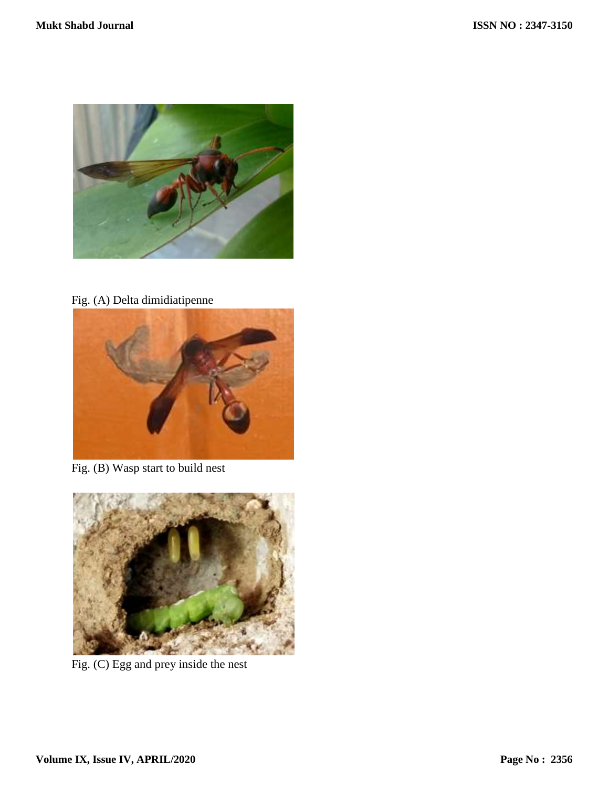

Fig. (A) Delta dimidiatipenne



Fig. (B) Wasp start to build nest



Fig. (C) Egg and prey inside the nest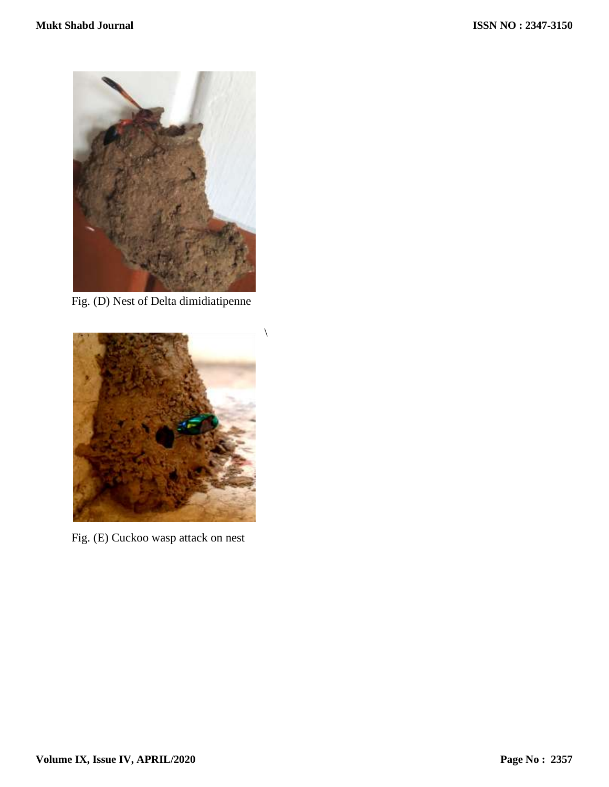

Fig. (D) Nest of Delta dimidiatipenne



Fig. (E) Cuckoo wasp attack on nest